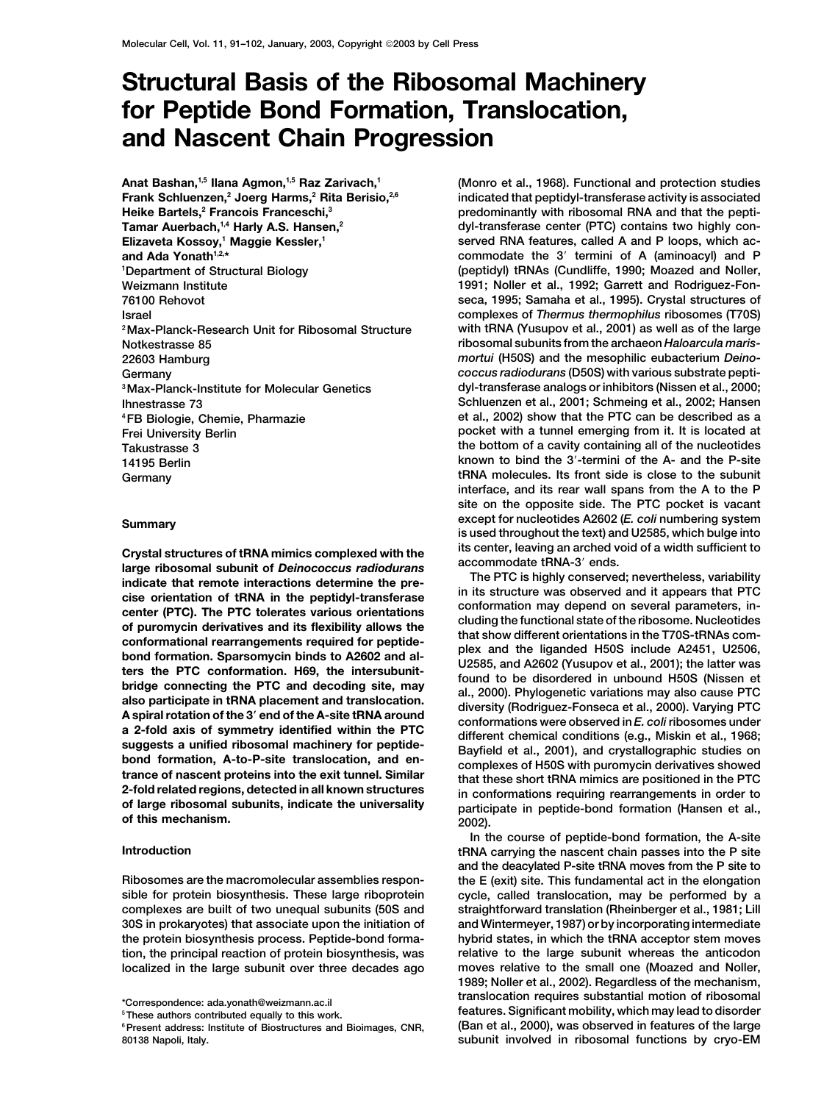# **Structural Basis of the Ribosomal Machinery for Peptide Bond Formation, Translocation, and Nascent Chain Progression**

**Anat Bashan,1,5 Ilana Agmon,1,5 Raz Zarivach,1 Frank Schluenzen,2 Joerg Harms,2 Rita Berisio,2,6 Heike Bartels,2 Francois Franceschi,3 Tamar Auerbach,1,4 Harly A.S. Hansen,2 Elizaveta Kossoy,1 Maggie Kessler,1 Department of Structural Biology**

Crystal structures of tRNA mimics complexed with the<br>
large ribosomal subunit of Deinococcus radioduring this senter, leaving an arched void of a width sufficient to<br>
indicate that remote interactions determine the pre-<br>
i

**(Monro et al., 1968). Functional and protection studies indicated that peptidyl-transferase activity is associated predominantly with ribosomal RNA and that the peptidyl-transferase center (PTC) contains two highly conserved RNA features, called A and P loops, which acand Ada Yonath<sup>1,2,\*</sup> <b>commodate the 3** *commodate the 3 commodate the 3* **<b>***commodate the 3 commodate the 3 commodate the 3 commodate the 3* **<b>***commodate the 3 commodate the 3 commodate the 3 c* **(peptidyl) tRNAs (Cundliffe, 1990; Moazed and Noller, <sup>1</sup> Weizmann Institute 1991; Noller et al., 1992; Garrett and Rodriguez-Fon-76100 Rehovot seca, 1995; Samaha et al., 1995). Crystal structures of Israel complexes of** *Thermus thermophilus* **ribosomes (T70S) 2Max-Planck-Research Unit for Ribosomal Structure with tRNA (Yusupov et al., 2001) as well as of the large Notkestrasse 85 ribosomal subunits from the archaeon** *Haloarcula maris-***22603 Hamburg** *mortui* **(H50S) and the mesophilic eubacterium** *Deino-***Germany** *coccus radiodurans* **(D50S) with various substrate peptidyl-transferase analogs or inhibitors (Nissen et al., 2000; 3Max-Planck-Institute for Molecular Genetics Ihnestrasse 73 Schluenzen et al., 2001; Schmeing et al., 2002; Hansen 4FB Biologie, Chemie, Pharmazie et al., 2002) show that the PTC can be described as a Frei University Berlin pocket with a tunnel emerging from it. It is located at Takustrasse 3 the bottom of a cavity containing all of the nucleotides 14195 Berlin known to bind the 3-termini of the A- and the P-site Germany tRNA molecules. Its front side is close to the subunit interface, and its rear wall spans from the A to the P site on the opposite side. The PTC pocket is vacant except for nucleotides A2602 (***E. coli* **numbering system Summary is used throughout the text) and U2585, which bulge into**

**In the course of peptide-bond formation, the A-site Introduction tRNA carrying the nascent chain passes into the P site and the deacylated P-site tRNA moves from the P site to Ribosomes are the macromolecular assemblies respon- the E (exit) site. This fundamental act in the elongation sible for protein biosynthesis. These large riboprotein cycle, called translocation, may be performed by a complexes are built of two unequal subunits (50S and straightforward translation (Rheinberger et al., 1981; Lill 30S in prokaryotes) that associate upon the initiation of and Wintermeyer, 1987) or by incorporating intermediate the protein biosynthesis process. Peptide-bond forma- hybrid states, in which the tRNA acceptor stem moves tion, the principal reaction of protein biosynthesis, was relative to the large subunit whereas the anticodon localized in the large subunit over three decades ago moves relative to the small one (Moazed and Noller, 1989; Noller et al., 2002). Regardless of the mechanism, translocation requires substantial motion of ribosomal \*Correspondence: ada.yonath@weizmann.ac.il <sup>5</sup> features. Significant mobility, which may lead to disorder These authors contributed equally to this work.**

<sup>&</sup>lt;sup>6</sup> Present address: Institute of Biostructures and Bioimages, CNR, **80138 Napoli, Italy. subunit involved in ribosomal functions by cryo-EM**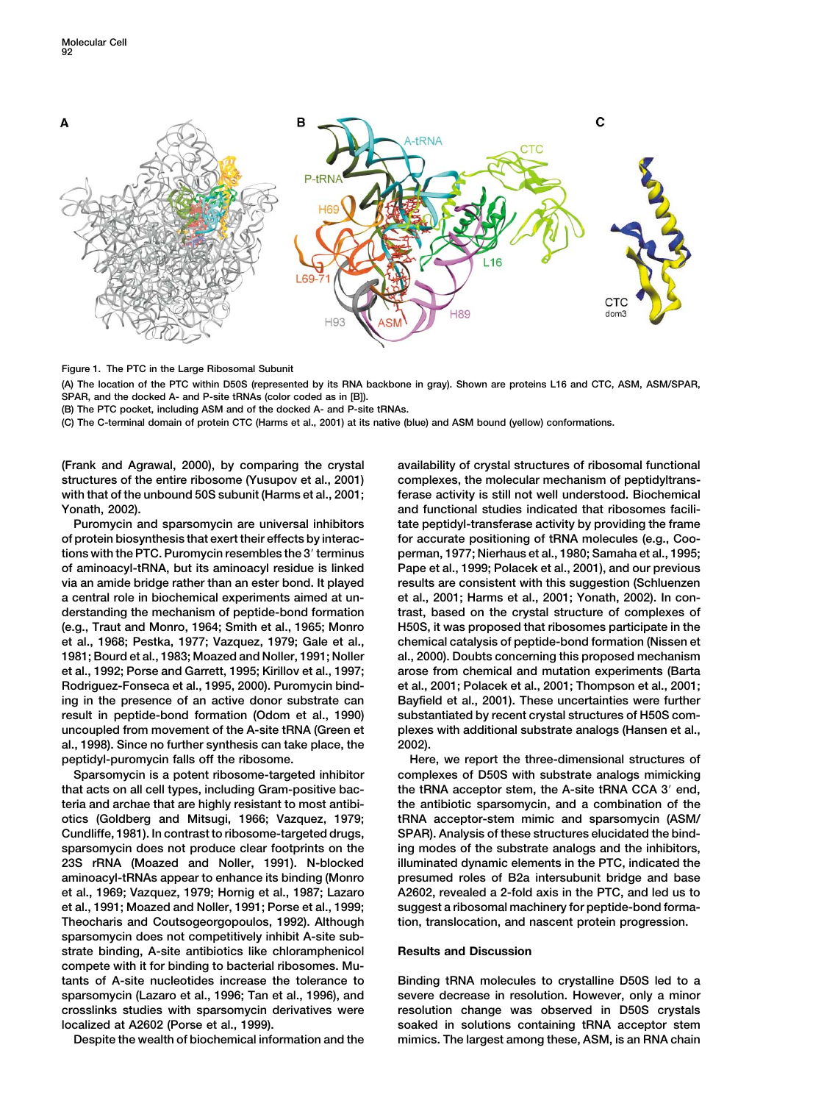

**Figure 1. The PTC in the Large Ribosomal Subunit**

**(A) The location of the PTC within D50S (represented by its RNA backbone in gray). Shown are proteins L16 and CTC, ASM, ASM/SPAR, SPAR, and the docked A- and P-site tRNAs (color coded as in [B]).**

**(B) The PTC pocket, including ASM and of the docked A- and P-site tRNAs.**

**(C) The C-terminal domain of protein CTC (Harms et al., 2001) at its native (blue) and ASM bound (yellow) conformations.**

**structures of the entire ribosome (Yusupov et al., 2001) complexes, the molecular mechanism of peptidyltranswith that of the unbound 50S subunit (Harms et al., 2001; ferase activity is still not well understood. Biochemical Yonath, 2002). and functional studies indicated that ribosomes facili-**

**of protein biosynthesis that exert their effects by interac- for accurate positioning of tRNA molecules (e.g., Cootions with the PTC. Puromycin resembles the 3 terminus perman, 1977; Nierhaus et al., 1980; Samaha et al., 1995; of aminoacyl-tRNA, but its aminoacyl residue is linked Pape et al., 1999; Polacek et al., 2001), and our previous via an amide bridge rather than an ester bond. It played results are consistent with this suggestion (Schluenzen a central role in biochemical experiments aimed at un- et al., 2001; Harms et al., 2001; Yonath, 2002). In conderstanding the mechanism of peptide-bond formation trast, based on the crystal structure of complexes of (e.g., Traut and Monro, 1964; Smith et al., 1965; Monro H50S, it was proposed that ribosomes participate in the et al., 1968; Pestka, 1977; Vazquez, 1979; Gale et al., chemical catalysis of peptide-bond formation (Nissen et 1981; Bourd et al., 1983; Moazed and Noller, 1991; Noller al., 2000). Doubts concerning this proposed mechanism et al., 1992; Porse and Garrett, 1995; Kirillov et al., 1997; arose from chemical and mutation experiments (Barta Rodriguez-Fonseca et al., 1995, 2000). Puromycin bind- et al., 2001; Polacek et al., 2001; Thompson et al., 2001; ing in the presence of an active donor substrate can Bayfield et al., 2001). These uncertainties were further result in peptide-bond formation (Odom et al., 1990) substantiated by recent crystal structures of H50S comuncoupled from movement of the A-site tRNA (Green et plexes with additional substrate analogs (Hansen et al., al., 1998). Since no further synthesis can take place, the 2002). peptidyl-puromycin falls off the ribosome. Here, we report the three-dimensional structures of**

**that acts on all cell types, including Gram-positive bac- the tRNA acceptor stem, the A-site tRNA CCA 3 end, teria and archae that are highly resistant to most antibi- the antibiotic sparsomycin, and a combination of the otics (Goldberg and Mitsugi, 1966; Vazquez, 1979; tRNA acceptor-stem mimic and sparsomycin (ASM/ Cundliffe, 1981). In contrast to ribosome-targeted drugs, SPAR). Analysis of these structures elucidated the bindsparsomycin does not produce clear footprints on the ing modes of the substrate analogs and the inhibitors, 23S rRNA (Moazed and Noller, 1991). N-blocked illuminated dynamic elements in the PTC, indicated the aminoacyl-tRNAs appear to enhance its binding (Monro presumed roles of B2a intersubunit bridge and base et al., 1969; Vazquez, 1979; Hornig et al., 1987; Lazaro A2602, revealed a 2-fold axis in the PTC, and led us to** et al., 1991; Moazed and Noller, 1991; Porse et al., 1999; suggest a ribosomal machinery for peptide-bond forma-**Theocharis and Coutsogeorgopoulos, 1992). Although tion, translocation, and nascent protein progression. sparsomycin does not competitively inhibit A-site substrate binding, A-site antibiotics like chloramphenicol Results and Discussion compete with it for binding to bacterial ribosomes. Mutants of A-site nucleotides increase the tolerance to Binding tRNA molecules to crystalline D50S led to a sparsomycin (Lazaro et al., 1996; Tan et al., 1996), and severe decrease in resolution. However, only a minor crosslinks studies with sparsomycin derivatives were resolution change was observed in D50S crystals**

**(Frank and Agrawal, 2000), by comparing the crystal availability of crystal structures of ribosomal functional Puromycin and sparsomycin are universal inhibitors tate peptidyl-transferase activity by providing the frame**

**Sparsomycin is a potent ribosome-targeted inhibitor complexes of D50S with substrate analogs mimicking**

**localized at A2602 (Porse et al., 1999). soaked in solutions containing tRNA acceptor stem Despite the wealth of biochemical information and the mimics. The largest among these, ASM, is an RNA chain**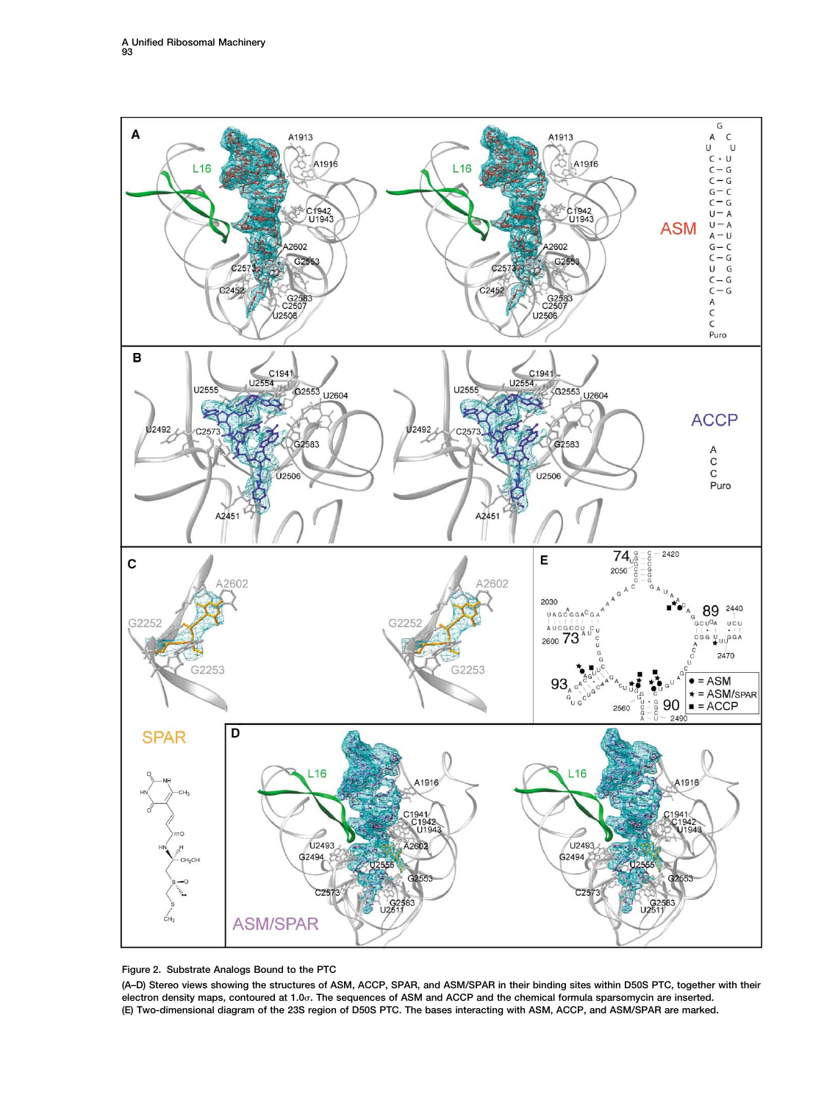

**Figure 2. Substrate Analogs Bound to the PTC**

**(A–D) Stereo views showing the structures of ASM, ACCP, SPAR, and ASM/SPAR in their binding sites within D50S PTC, together with their** electron density maps, contoured at 1.0 $\sigma$ . The sequences of ASM and ACCP and the chemical formula sparsomycin are inserted. **(E) Two-dimensional diagram of the 23S region of D50S PTC. The bases interacting with ASM, ACCP, and ASM/SPAR are marked.**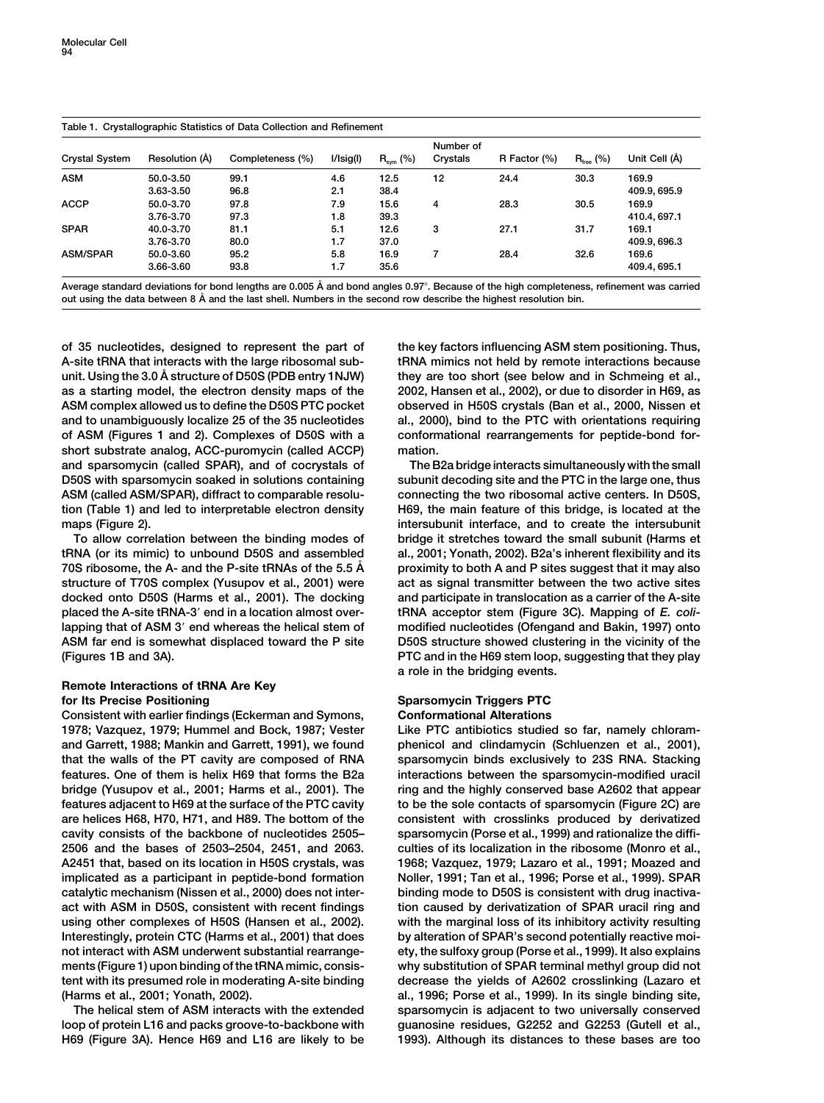## **Table 1. Crystallographic Statistics of Data Collection and Refinement**

| <b>Crystal System</b> | Resolution (Å) | Completeness (%) | I/Isig(I) | $R_{sym}$ (%) | Number of<br>Crystals | R Factor (%) | $R_{\text{free}}$ (%) | Unit Cell (Å) |  |
|-----------------------|----------------|------------------|-----------|---------------|-----------------------|--------------|-----------------------|---------------|--|
| <b>ASM</b>            | 50.0-3.50      | 99.1             | 4.6       | 12.5          | 12                    | 24.4         | 30.3                  | 169.9         |  |
|                       | 3.63-3.50      | 96.8             | 2.1       | 38.4          |                       |              |                       | 409.9, 695.9  |  |
| <b>ACCP</b>           | 50.0-3.70      | 97.8             | 7.9       | 15.6          | 4                     | 28.3         | 30.5                  | 169.9         |  |
|                       | 3.76-3.70      | 97.3             | 1.8       | 39.3          |                       |              |                       | 410.4.697.1   |  |
| <b>SPAR</b>           | 40.0-3.70      | 81.1             | 5.1       | 12.6          | 3                     | 27.1         | 31.7                  | 169.1         |  |
|                       | 3.76-3.70      | 80.0             | 1.7       | 37.0          |                       |              |                       | 409.9.696.3   |  |
| <b>ASM/SPAR</b>       | 50.0-3.60      | 95.2             | 5.8       | 16.9          | 7                     | 28.4         | 32.6                  | 169.6         |  |
|                       | 3.66-3.60      | 93.8             | 1.7       | 35.6          |                       |              |                       | 409.4, 695.1  |  |

**Average standard deviations for bond lengths are 0.005 A˚ and bond angles 0.97. Because of the high completeness, refinement was carried out using the data between 8 A˚ and the last shell. Numbers in the second row describe the highest resolution bin.**

**of 35 nucleotides, designed to represent the part of the key factors influencing ASM stem positioning. Thus, A-site tRNA that interacts with the large ribosomal sub- tRNA mimics not held by remote interactions because unit. Using the 3.0 A˚ structure of D50S (PDB entry 1NJW) they are too short (see below and in Schmeing et al., as a starting model, the electron density maps of the 2002, Hansen et al., 2002), or due to disorder in H69, as ASM complex allowed us to define the D50S PTC pocket observed in H50S crystals (Ban et al., 2000, Nissen et and to unambiguously localize 25 of the 35 nucleotides al., 2000), bind to the PTC with orientations requiring of ASM (Figures 1 and 2). Complexes of D50S with a conformational rearrangements for peptide-bond forshort substrate analog, ACC-puromycin (called ACCP) mation. and sparsomycin (called SPAR), and of cocrystals of The B2a bridge interacts simultaneously with the small D50S with sparsomycin soaked in solutions containing subunit decoding site and the PTC in the large one, thus ASM (called ASM/SPAR), diffract to comparable resolu- connecting the two ribosomal active centers. In D50S, tion (Table 1) and led to interpretable electron density H69, the main feature of this bridge, is located at the maps (Figure 2). intersubunit interface, and to create the intersubunit**

**tRNA (or its mimic) to unbound D50S and assembled al., 2001; Yonath, 2002). B2a's inherent flexibility and its 70S ribosome, the A- and the P-site tRNAs of the 5.5 A˚ proximity to both A and P sites suggest that it may also structure of T70S complex (Yusupov et al., 2001) were act as signal transmitter between the two active sites docked onto D50S (Harms et al., 2001). The docking and participate in translocation as a carrier of the A-site placed the A-site tRNA-3 end in a location almost over- tRNA acceptor stem (Figure 3C). Mapping of** *E. coli***lapping that of ASM 3 end whereas the helical stem of modified nucleotides (Ofengand and Bakin, 1997) onto ASM far end is somewhat displaced toward the P site D50S structure showed clustering in the vicinity of the (Figures 1B and 3A). PTC and in the H69 stem loop, suggesting that they play**

# **Remote Interactions of tRNA Are Key for Its Precise Positioning Community Community Community Sparsomycin Triggers PTC**

**Consistent with earlier findings (Eckerman and Symons, Conformational Alterations 1978; Vazquez, 1979; Hummel and Bock, 1987; Vester Like PTC antibiotics studied so far, namely chloramand Garrett, 1988; Mankin and Garrett, 1991), we found phenicol and clindamycin (Schluenzen et al., 2001), that the walls of the PT cavity are composed of RNA sparsomycin binds exclusively to 23S RNA. Stacking features. One of them is helix H69 that forms the B2a interactions between the sparsomycin-modified uracil bridge (Yusupov et al., 2001; Harms et al., 2001). The ring and the highly conserved base A2602 that appear features adjacent to H69 at the surface of the PTC cavity to be the sole contacts of sparsomycin (Figure 2C) are are helices H68, H70, H71, and H89. The bottom of the consistent with crosslinks produced by derivatized cavity consists of the backbone of nucleotides 2505– sparsomycin (Porse et al., 1999) and rationalize the diffi-2506 and the bases of 2503–2504, 2451, and 2063. culties of its localization in the ribosome (Monro et al., A2451 that, based on its location in H50S crystals, was 1968; Vazquez, 1979; Lazaro et al., 1991; Moazed and implicated as a participant in peptide-bond formation Noller, 1991; Tan et al., 1996; Porse et al., 1999). SPAR catalytic mechanism (Nissen et al., 2000) does not inter- binding mode to D50S is consistent with drug inactivaact with ASM in D50S, consistent with recent findings tion caused by derivatization of SPAR uracil ring and using other complexes of H50S (Hansen et al., 2002). with the marginal loss of its inhibitory activity resulting Interestingly, protein CTC (Harms et al., 2001) that does by alteration of SPAR's second potentially reactive moinot interact with ASM underwent substantial rearrange- ety, the sulfoxy group (Porse et al., 1999). It also explains ments (Figure 1) upon binding of the tRNA mimic, consis- why substitution of SPAR terminal methyl group did not tent with its presumed role in moderating A-site binding decrease the yields of A2602 crosslinking (Lazaro et (Harms et al., 2001; Yonath, 2002). al., 1996; Porse et al., 1999). In its single binding site,**

**loop of protein L16 and packs groove-to-backbone with guanosine residues, G2252 and G2253 (Gutell et al., H69 (Figure 3A). Hence H69 and L16 are likely to be 1993). Although its distances to these bases are too**

**To allow correlation between the binding modes of bridge it stretches toward the small subunit (Harms et a role in the bridging events.**

**The helical stem of ASM interacts with the extended sparsomycin is adjacent to two universally conserved**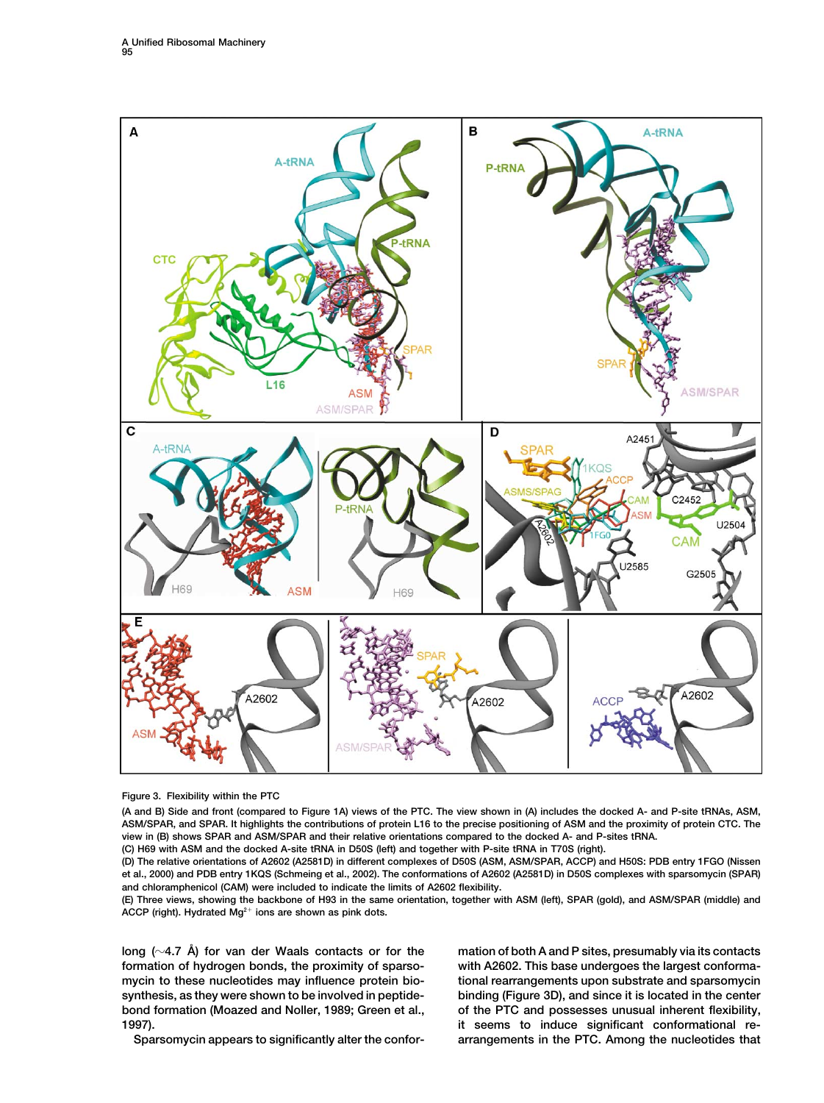

**Figure 3. Flexibility within the PTC**

**(A and B) Side and front (compared to Figure 1A) views of the PTC. The view shown in (A) includes the docked A- and P-site tRNAs, ASM, ASM/SPAR, and SPAR. It highlights the contributions of protein L16 to the precise positioning of ASM and the proximity of protein CTC. The view in (B) shows SPAR and ASM/SPAR and their relative orientations compared to the docked A- and P-sites tRNA. (C) H69 with ASM and the docked A-site tRNA in D50S (left) and together with P-site tRNA in T70S (right).**

**(D) The relative orientations of A2602 (A2581D) in different complexes of D50S (ASM, ASM/SPAR, ACCP) and H50S: PDB entry 1FGO (Nissen et al., 2000) and PDB entry 1KQS (Schmeing et al., 2002). The conformations of A2602 (A2581D) in D50S complexes with sparsomycin (SPAR) and chloramphenicol (CAM) were included to indicate the limits of A2602 flexibility.**

**(E) Three views, showing the backbone of H93 in the same orientation, together with ASM (left), SPAR (gold), and ASM/SPAR (middle) and** ACCP (right). Hydrated Mg<sup>2+</sup> ions are shown as pink dots.

**long (4.7 A˚ ) for van der Waals contacts or for the mation of both A and P sites, presumably via its contacts formation of hydrogen bonds, the proximity of sparso- with A2602. This base undergoes the largest conformamycin to these nucleotides may influence protein bio- tional rearrangements upon substrate and sparsomycin synthesis, as they were shown to be involved in peptide- binding (Figure 3D), and since it is located in the center bond formation (Moazed and Noller, 1989; Green et al., of the PTC and possesses unusual inherent flexibility, 1997). it seems to induce significant conformational re-**

**Sparsomycin appears to significantly alter the confor- arrangements in the PTC. Among the nucleotides that**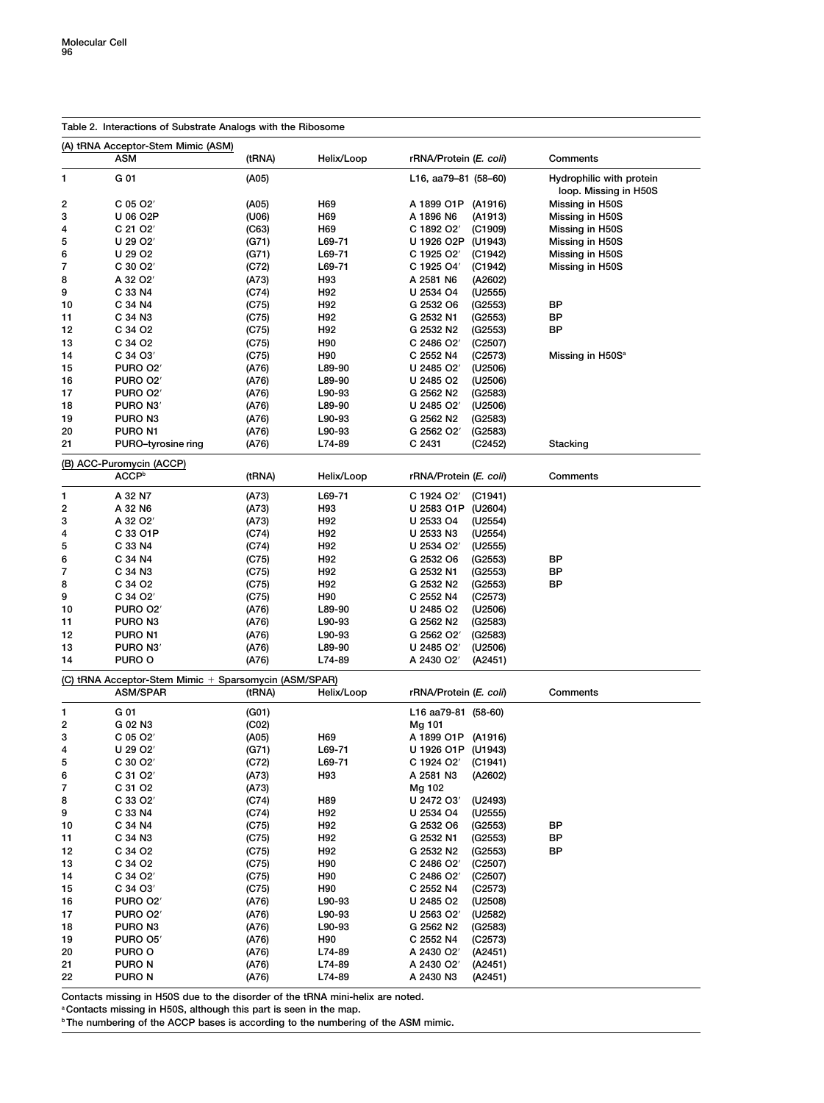| Table 2. Interactions of Substrate Analogs with the Ribosome |                                                       |        |            |                                    |                                                   |  |  |  |  |  |
|--------------------------------------------------------------|-------------------------------------------------------|--------|------------|------------------------------------|---------------------------------------------------|--|--|--|--|--|
| (A) tRNA Acceptor-Stem Mimic (ASM)                           |                                                       |        |            |                                    |                                                   |  |  |  |  |  |
|                                                              | ASM                                                   | (tRNA) | Helix/Loop | rRNA/Protein (E. coli)             | Comments                                          |  |  |  |  |  |
| 1                                                            | G 01                                                  | (A05)  |            | L16, aa79–81 (58–60)               | Hydrophilic with protein<br>loop. Missing in H50S |  |  |  |  |  |
| 2                                                            | C 05 O2'                                              | (A05)  | H69        | A 1899 O1P (A1916)                 | Missing in H50S                                   |  |  |  |  |  |
| 3                                                            | U 06 O2P                                              | (U06)  | H69        | A 1896 N6<br>(A1913)               | Missing in H50S                                   |  |  |  |  |  |
| 4                                                            | C 21 O2'                                              | (C63)  | H69        | C 1892 O2'<br>(C1909)              | Missing in H50S                                   |  |  |  |  |  |
| 5                                                            | U 29 O2′                                              | (G71)  | L69-71     | U 1926 O2P<br>(U1943)              | Missing in H50S                                   |  |  |  |  |  |
| 6                                                            | U 29 O2                                               | (G71)  | $L69 - 71$ | C 1925 O2'<br>(C1942)              | Missing in H50S                                   |  |  |  |  |  |
| 7                                                            | C 30 O2'                                              | (C72)  | L69-71     | C 1925 O4'<br>(C1942)              | Missing in H50S                                   |  |  |  |  |  |
| 8                                                            | A 32 O2'                                              | (A73)  | H93        | A 2581 N6<br>(A2602)               |                                                   |  |  |  |  |  |
| 9                                                            | C 33 N4                                               | (C74)  | H92        | U 2534 O4<br>(U2555)               |                                                   |  |  |  |  |  |
| 10                                                           | C 34 N4                                               | (C75)  | H92        | G 2532 O6<br>(G2553)               | ВP                                                |  |  |  |  |  |
| 11                                                           | C 34 N3                                               | (C75)  | H92        | G 2532 N1<br>(G2553)               | ВP                                                |  |  |  |  |  |
| 12                                                           | C 34 O2                                               | (C75)  | H92        | G 2532 N2<br>(G2553)               | ВP                                                |  |  |  |  |  |
| 13                                                           | C 34 O2                                               | (C75)  | H90        | C 2486 O2'<br>(C2507)              |                                                   |  |  |  |  |  |
| 14                                                           | C 34 O3'                                              | (C75)  | H90        | C 2552 N4<br>(C2573)               | Missing in H50S <sup>a</sup>                      |  |  |  |  |  |
| 15                                                           | <b>PURO 02'</b>                                       | (A76)  | L89-90     | U 2485 O2'<br>(U2506)              |                                                   |  |  |  |  |  |
| 16                                                           | <b>PURO 02'</b>                                       | (A76)  | L89-90     | U 2485 O2<br>(U2506)               |                                                   |  |  |  |  |  |
| 17                                                           | <b>PURO 02'</b>                                       | (A76)  | L90-93     | G 2562 N2<br>(G2583)               |                                                   |  |  |  |  |  |
| 18                                                           | PURO N3'                                              | (A76)  | L89-90     | U 2485 O2'<br>(U2506)              |                                                   |  |  |  |  |  |
| 19                                                           | PURO N3                                               | (A76)  | L90-93     | G 2562 N2<br>(G2583)               |                                                   |  |  |  |  |  |
| 20                                                           | PURO N1                                               | (A76)  | L90-93     | G 2562 O2'<br>(G2583)              |                                                   |  |  |  |  |  |
| 21                                                           | PURO-tyrosine ring                                    | (A76)  | L74-89     | C 2431<br>(C2452)                  | Stacking                                          |  |  |  |  |  |
|                                                              | (B) ACC-Puromycin (ACCP)<br><b>ACCP</b> <sup>b</sup>  | (tRNA) | Helix/Loop | rRNA/Protein (E. coli)             | Comments                                          |  |  |  |  |  |
| 1                                                            | A 32 N7                                               | (A73)  | L69-71     | C 1924 O2'<br>(C1941)              |                                                   |  |  |  |  |  |
| 2                                                            | A 32 N6                                               | (A73)  | H93        | U 2583 O1P<br>(U2604)              |                                                   |  |  |  |  |  |
| 3                                                            | A 32 O2'                                              | (A73)  | H92        | U 2533 O4<br>(U2554)               |                                                   |  |  |  |  |  |
| 4                                                            | C 33 O1P                                              | (C74)  | H92        | U 2533 N3<br>(U2554)               |                                                   |  |  |  |  |  |
| 5                                                            | C 33 N4                                               | (C74)  | H92        | U 2534 O2'<br>(U2555)              |                                                   |  |  |  |  |  |
| 6                                                            | C 34 N4                                               | (C75)  | H92        | G 2532 O6<br>(G2553)               | ВP                                                |  |  |  |  |  |
| 7                                                            | C 34 N3                                               | (C75)  | H92        | G 2532 N1<br>(G2553)               | ВP                                                |  |  |  |  |  |
| 8                                                            | C 34 O2                                               | (C75)  | H92        | G 2532 N2<br>(G2553)               | ВP                                                |  |  |  |  |  |
| 9                                                            | C 34 O2'                                              | (C75)  | H90        | C 2552 N4<br>(C2573)               |                                                   |  |  |  |  |  |
| 10                                                           | <b>PURO 02'</b>                                       | (A76)  | L89-90     | U 2485 O2<br>(U2506)               |                                                   |  |  |  |  |  |
| 11                                                           | PURO N3                                               | (A76)  | L90-93     | G 2562 N2<br>(G2583)               |                                                   |  |  |  |  |  |
| 12                                                           | PURO N1                                               | (A76)  | L90-93     | G 2562 O2'<br>(G2583)              |                                                   |  |  |  |  |  |
| 13                                                           | PURO N3'                                              | (A76)  | L89-90     | U 2485 O2'<br>(U2506)              |                                                   |  |  |  |  |  |
| 14                                                           | PURO O                                                | (A76)  | L74-89     | A 2430 O2'<br>(A2451)              |                                                   |  |  |  |  |  |
|                                                              | (C) tRNA Acceptor-Stem Mimic + Sparsomycin (ASM/SPAR) |        |            |                                    |                                                   |  |  |  |  |  |
|                                                              | ASM/SPAR                                              | (tRNA) | Helix/Loop | rRNA/Protein (E. coli)             | Comments                                          |  |  |  |  |  |
| 1                                                            | G 01                                                  | (G01)  |            | L16 aa79-81 (58-60)                |                                                   |  |  |  |  |  |
| 2                                                            | G 02 N3                                               | (C02)  |            | Mg 101                             |                                                   |  |  |  |  |  |
| 3                                                            | C 05 O2'                                              | (A05)  | H69        | A 1899 O1P (A1916)                 |                                                   |  |  |  |  |  |
| 4                                                            | U 29 O2'                                              | (G71)  | $L69 - 71$ | U 1926 O1P (U1943)                 |                                                   |  |  |  |  |  |
| 5                                                            | $C_{30}$ $O_{2}$                                      | (C72)  | L69-71     | C 1924 O2' (C1941)                 |                                                   |  |  |  |  |  |
| 6                                                            | C 31 O2'                                              | (A73)  | H93        | A 2581 N3<br>(A2602)               |                                                   |  |  |  |  |  |
| 7                                                            | C 31 O2                                               | (A73)  |            | Mg 102                             |                                                   |  |  |  |  |  |
| 8                                                            | C 33 O2'                                              | (C74)  | H89        | U 2472 O3'<br>(U2493)              |                                                   |  |  |  |  |  |
| 9                                                            | C 33 N4                                               | (C74)  | H92        | U 2534 O4<br>(U2555)               |                                                   |  |  |  |  |  |
| 10                                                           | C 34 N4                                               | (C75)  | H92        | G 2532 O6<br>(G2553)               | ВP                                                |  |  |  |  |  |
| 11                                                           | C 34 N3                                               | (C75)  | H92        | G 2532 N1<br>(G2553)               | ВP                                                |  |  |  |  |  |
| 12                                                           | C 34 O2                                               | (C75)  | H92        | G 2532 N2<br>(G2553)               | ВP                                                |  |  |  |  |  |
| 13                                                           | C 34 O2                                               | (C75)  | H90        | C 2486 O2'<br>(C2507)              |                                                   |  |  |  |  |  |
| 14                                                           | C 34 O2'                                              |        | H90        | C 2486 O <sub>2</sub> '<br>(C2507) |                                                   |  |  |  |  |  |
| 15                                                           | C 34 O3'                                              | (C75)  | H90        | (C2573)                            |                                                   |  |  |  |  |  |
|                                                              |                                                       | (C75)  |            | C 2552 N4                          |                                                   |  |  |  |  |  |
| 16                                                           | <b>PURO 02'</b>                                       | (A76)  | L90-93     | U 2485 O2<br>(U2508)<br>(U2582)    |                                                   |  |  |  |  |  |
| 17                                                           | <b>PURO 02'</b>                                       | (A76)  | L90-93     | U 2563 O2'                         |                                                   |  |  |  |  |  |
| 18                                                           | PURO N3                                               | (A76)  | L90-93     | G 2562 N2<br>(G2583)               |                                                   |  |  |  |  |  |
| 19                                                           | <b>PURO 05'</b>                                       | (A76)  | H90        | C 2552 N4<br>(C2573)               |                                                   |  |  |  |  |  |
| 20                                                           | PURO O                                                | (A76)  | L74-89     | A 2430 O2'<br>(A2451)              |                                                   |  |  |  |  |  |
| 21                                                           | puro n                                                | (A76)  | L74-89     | A 2430 O2'<br>(A2451)              |                                                   |  |  |  |  |  |
| 22                                                           | PURO N                                                | (A76)  | L74-89     | A 2430 N3<br>(A2451)               |                                                   |  |  |  |  |  |

**Contacts missing in H50S due to the disorder of the tRNA mini-helix are noted.**

**<sup>a</sup> Contacts missing in H50S, although this part is seen in the map.**

**<sup>b</sup> The numbering of the ACCP bases is according to the numbering of the ASM mimic.**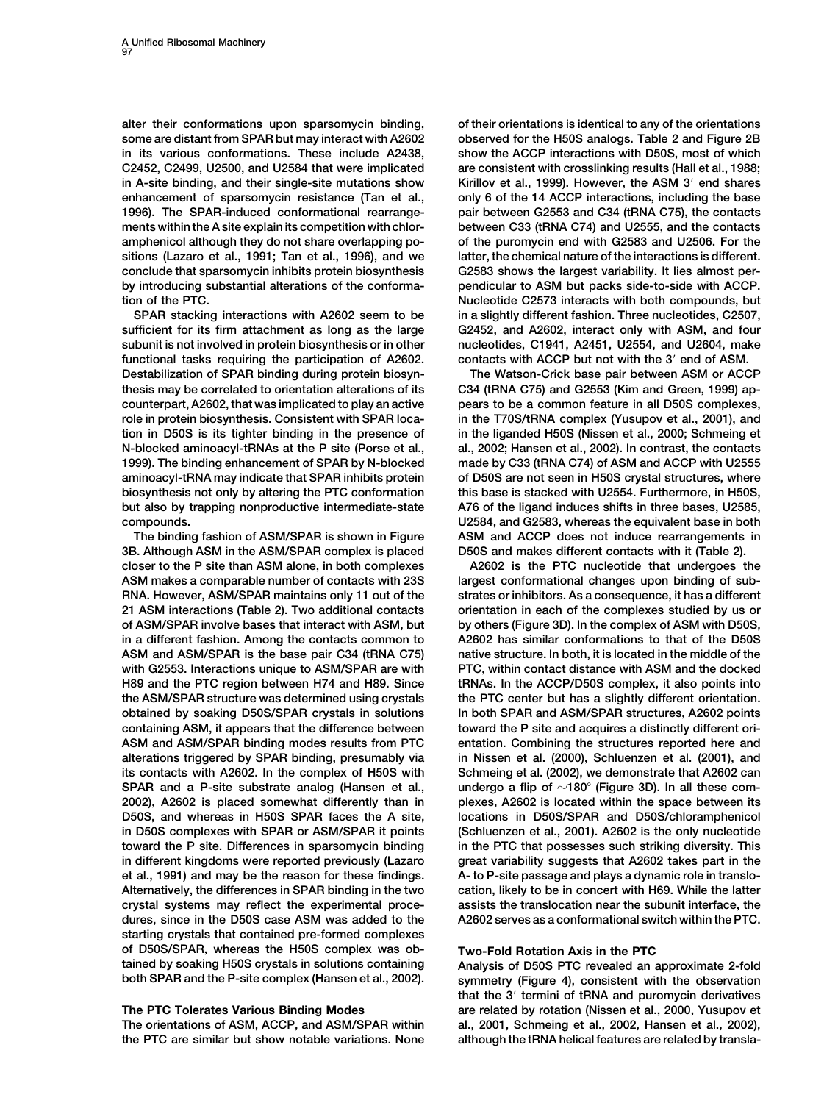**some are distant from SPAR but may interact with A2602 observed for the H50S analogs. Table 2 and Figure 2B in its various conformations. These include A2438, show the ACCP interactions with D50S, most of which C2452, C2499, U2500, and U2584 that were implicated are consistent with crosslinking results (Hall et al., 1988; in A-site binding, and their single-site mutations show Kirillov et al., 1999). However, the ASM 3 end shares enhancement of sparsomycin resistance (Tan et al., only 6 of the 14 ACCP interactions, including the base 1996). The SPAR-induced conformational rearrange- pair between G2553 and C34 (tRNA C75), the contacts ments within the A site explain its competition with chlor- between C33 (tRNA C74) and U2555, and the contacts amphenicol although they do not share overlapping po- of the puromycin end with G2583 and U2506. For the sitions (Lazaro et al., 1991; Tan et al., 1996), and we latter, the chemical nature of the interactions is different. conclude that sparsomycin inhibits protein biosynthesis G2583 shows the largest variability. It lies almost perby introducing substantial alterations of the conforma- pendicular to ASM but packs side-to-side with ACCP. tion of the PTC. Nucleotide C2573 interacts with both compounds, but**

**sufficient for its firm attachment as long as the large G2452, and A2602, interact only with ASM, and four subunit is not involved in protein biosynthesis or in other nucleotides, C1941, A2451, U2554, and U2604, make functional tasks requiring the participation of A2602. contacts with ACCP but not with the 3 end of ASM. Destabilization of SPAR binding during protein biosyn- The Watson-Crick base pair between ASM or ACCP thesis may be correlated to orientation alterations of its C34 (tRNA C75) and G2553 (Kim and Green, 1999) apcounterpart, A2602, that was implicated to play an active pears to be a common feature in all D50S complexes, role in protein biosynthesis. Consistent with SPAR loca- in the T70S/tRNA complex (Yusupov et al., 2001), and tion in D50S is its tighter binding in the presence of in the liganded H50S (Nissen et al., 2000; Schmeing et N-blocked aminoacyl-tRNAs at the P site (Porse et al., al., 2002; Hansen et al., 2002). In contrast, the contacts 1999). The binding enhancement of SPAR by N-blocked made by C33 (tRNA C74) of ASM and ACCP with U2555 aminoacyl-tRNA may indicate that SPAR inhibits protein of D50S are not seen in H50S crystal structures, where biosynthesis not only by altering the PTC conformation this base is stacked with U2554. Furthermore, in H50S, but also by trapping nonproductive intermediate-state A76 of the ligand induces shifts in three bases, U2585, compounds. U2584, and G2583, whereas the equivalent base in both**

**3B. Although ASM in the ASM/SPAR complex is placed D50S and makes different contacts with it (Table 2). closer to the P site than ASM alone, in both complexes A2602 is the PTC nucleotide that undergoes the ASM makes a comparable number of contacts with 23S largest conformational changes upon binding of sub-RNA. However, ASM/SPAR maintains only 11 out of the strates or inhibitors. As a consequence, it has a different 21 ASM interactions (Table 2). Two additional contacts orientation in each of the complexes studied by us or of ASM/SPAR involve bases that interact with ASM, but by others (Figure 3D). In the complex of ASM with D50S, in a different fashion. Among the contacts common to A2602 has similar conformations to that of the D50S ASM and ASM/SPAR is the base pair C34 (tRNA C75) native structure. In both, it is located in the middle of the with G2553. Interactions unique to ASM/SPAR are with PTC, within contact distance with ASM and the docked H89 and the PTC region between H74 and H89. Since tRNAs. In the ACCP/D50S complex, it also points into the ASM/SPAR structure was determined using crystals the PTC center but has a slightly different orientation. obtained by soaking D50S/SPAR crystals in solutions In both SPAR and ASM/SPAR structures, A2602 points containing ASM, it appears that the difference between toward the P site and acquires a distinctly different ori-ASM and ASM/SPAR binding modes results from PTC entation. Combining the structures reported here and alterations triggered by SPAR binding, presumably via in Nissen et al. (2000), Schluenzen et al. (2001), and its contacts with A2602. In the complex of H50S with Schmeing et al. (2002), we demonstrate that A2602 can SPAR and a P-site substrate analog (Hansen et al., undergo a flip of 180 (Figure 3D). In all these com-2002), A2602 is placed somewhat differently than in plexes, A2602 is located within the space between its D50S, and whereas in H50S SPAR faces the A site, locations in D50S/SPAR and D50S/chloramphenicol in D50S complexes with SPAR or ASM/SPAR it points (Schluenzen et al., 2001). A2602 is the only nucleotide toward the P site. Differences in sparsomycin binding in the PTC that possesses such striking diversity. This in different kingdoms were reported previously (Lazaro great variability suggests that A2602 takes part in the et al., 1991) and may be the reason for these findings. A- to P-site passage and plays a dynamic role in translo-Alternatively, the differences in SPAR binding in the two cation, likely to be in concert with H69. While the latter crystal systems may reflect the experimental proce- assists the translocation near the subunit interface, the dures, since in the D50S case ASM was added to the A2602 serves as a conformational switch within the PTC. starting crystals that contained pre-formed complexes of D50S/SPAR, whereas the H50S complex was ob- Two-Fold Rotation Axis in the PTC tained by soaking H50S crystals in solutions containing Analysis of D50S PTC revealed an approximate 2-fold**

**The orientations of ASM, ACCP, and ASM/SPAR within al., 2001, Schmeing et al., 2002, Hansen et al., 2002), the PTC are similar but show notable variations. None although the tRNA helical features are related by transla-**

**alter their conformations upon sparsomycin binding, of their orientations is identical to any of the orientations SPAR stacking interactions with A2602 seem to be in a slightly different fashion. Three nucleotides, C2507,**

**The binding fashion of ASM/SPAR is shown in Figure ASM and ACCP does not induce rearrangements in**

symmetry (Figure 4), consistent with the observation **that the 3 termini of tRNA and puromycin derivatives The PTC Tolerates Various Binding Modes are related by rotation (Nissen et al., 2000, Yusupov et**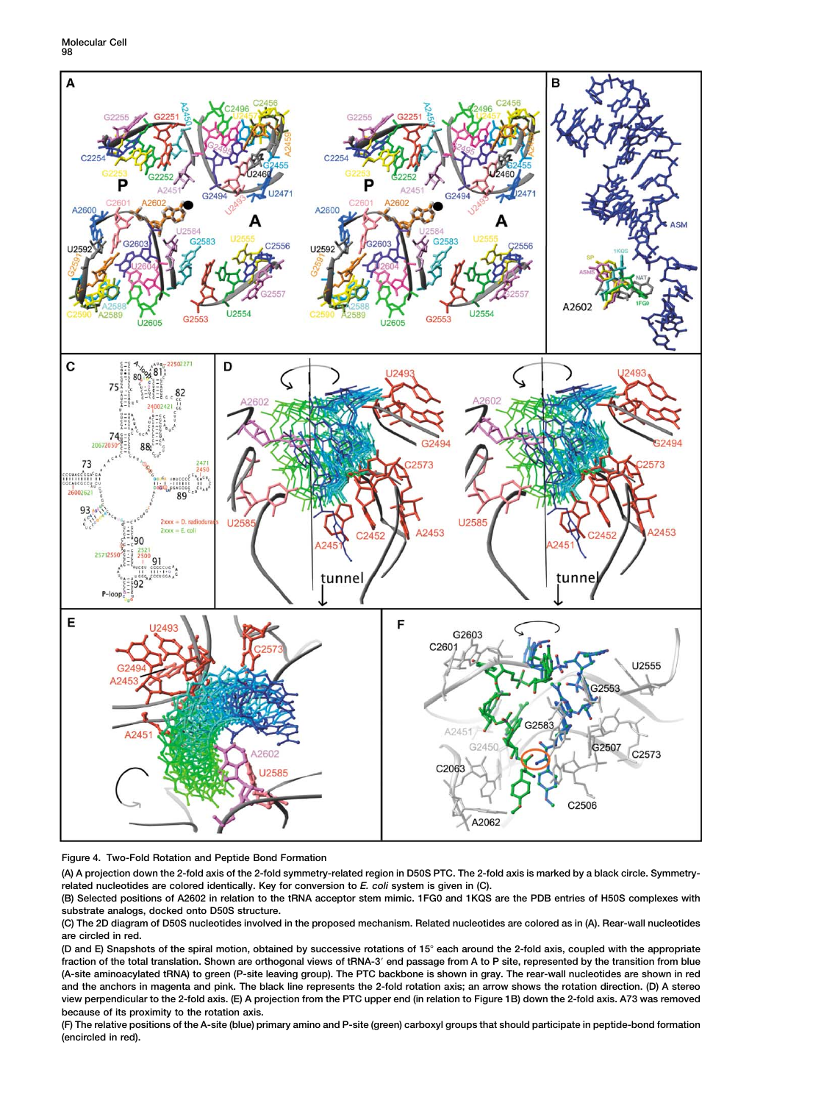**Molecular Cell 98**



## **Figure 4. Two-Fold Rotation and Peptide Bond Formation**

**(A) A projection down the 2-fold axis of the 2-fold symmetry-related region in D50S PTC. The 2-fold axis is marked by a black circle. Symmetryrelated nucleotides are colored identically. Key for conversion to** *E. coli* **system is given in (C).**

**(B) Selected positions of A2602 in relation to the tRNA acceptor stem mimic. 1FG0 and 1KQS are the PDB entries of H50S complexes with substrate analogs, docked onto D50S structure.**

**(C) The 2D diagram of D50S nucleotides involved in the proposed mechanism. Related nucleotides are colored as in (A). Rear-wall nucleotides are circled in red.**

**(D and E) Snapshots of the spiral motion, obtained by successive rotations of 15 each around the 2-fold axis, coupled with the appropriate fraction of the total translation. Shown are orthogonal views of tRNA-3 end passage from A to P site, represented by the transition from blue (A-site aminoacylated tRNA) to green (P-site leaving group). The PTC backbone is shown in gray. The rear-wall nucleotides are shown in red and the anchors in magenta and pink. The black line represents the 2-fold rotation axis; an arrow shows the rotation direction. (D) A stereo view perpendicular to the 2-fold axis. (E) A projection from the PTC upper end (in relation to Figure 1B) down the 2-fold axis. A73 was removed because of its proximity to the rotation axis.**

**(F) The relative positions of the A-site (blue) primary amino and P-site (green) carboxyl groups that should participate in peptide-bond formation (encircled in red).**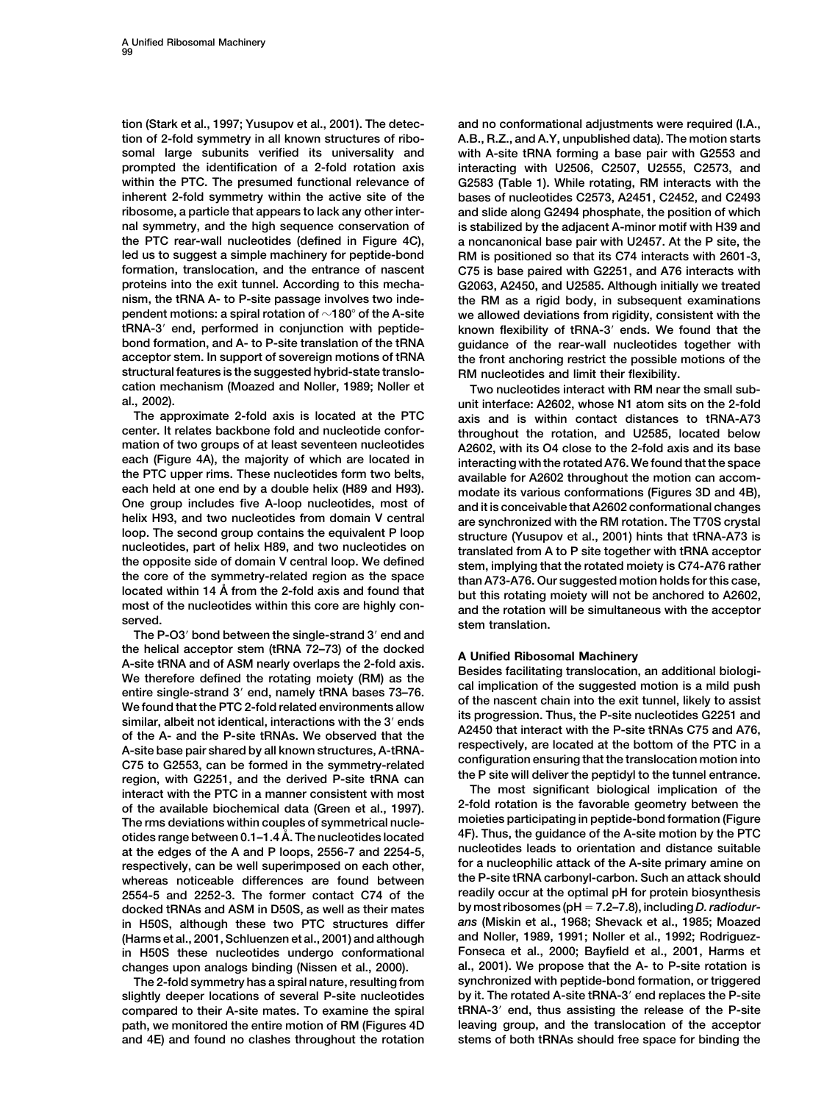**tion (Stark et al., 1997; Yusupov et al., 2001). The detec- and no conformational adjustments were required (I.A., tion of 2-fold symmetry in all known structures of ribo- A.B., R.Z., and A.Y, unpublished data). The motion starts somal large subunits verified its universality and with A-site tRNA forming a base pair with G2553 and prompted the identification of a 2-fold rotation axis interacting with U2506, C2507, U2555, C2573, and within the PTC. The presumed functional relevance of G2583 (Table 1). While rotating, RM interacts with the inherent 2-fold symmetry within the active site of the bases of nucleotides C2573, A2451, C2452, and C2493 ribosome, a particle that appears to lack any other inter- and slide along G2494 phosphate, the position of which nal symmetry, and the high sequence conservation of is stabilized by the adjacent A-minor motif with H39 and the PTC rear-wall nucleotides (defined in Figure 4C), a noncanonical base pair with U2457. At the P site, the led us to suggest a simple machinery for peptide-bond RM is positioned so that its C74 interacts with 2601-3, formation, translocation, and the entrance of nascent C75 is base paired with G2251, and A76 interacts with proteins into the exit tunnel. According to this mecha- G2063, A2450, and U2585. Although initially we treated nism, the tRNA A- to P-site passage involves two inde- the RM as a rigid body, in subsequent examinations pendent motions: a spiral rotation of 180 of the A-site we allowed deviations from rigidity, consistent with the tRNA-3 end, performed in conjunction with peptide- known flexibility of tRNA-3 ends. We found that the bond formation, and A- to P-site translation of the tRNA guidance of the rear-wall nucleotides together with acceptor stem. In support of sovereign motions of tRNA the front anchoring restrict the possible motions of the structural features is the suggested hybrid-state translo- RM nucleotides and limit their flexibility. cation mechanism (Moazed and Noller, 1989; Noller et Two nucleotides interact with RM near the small sub-**

**The approximate 2-fold axis is located at the PTC axis and is within contact distances to tRNA-A73 center. It relates backbone fold and nucleotide confor- throughout the rotation, and U2585, located below mation of two groups of at least seventeen nucleotides A2602, with its O4 close to the 2-fold axis and its base each (Figure 4A), the majority of which are located in interacting with the rotated A76. We found that the space the PTC upper rims. These nucleotides form two belts, available for A2602 throughout the motion can accom-**

**The P-O3 bond between the single-strand 3 end and** the helical acceptor stem (tRNA 72–73) of the docked<br>
A-site tRNA and of ASM nearly overlaps the 2-fold axis.<br>
We therefore defined the rotating moiety (RM) as the<br>
entire single-strand 3' end, namely tRNA bases 73–76.<br>
We of the available biochemical data (Green et al., 1997). 2-fold rotation is the favorable geometry between the<br>The rms deviations within couples of symmetrical nucle-<br>moieties participating in peptide-bond formation (Figure **otides range between 0.1–1.4 A˚ . The nucleotides located 4F). Thus, the guidance of the A-site motion by the PTC nucleotides leads to orientation and distance suitable at the edges of the A and P loops, 2556-7 and 2254-5, respectively, can be well superimposed on each other, for a nucleophilic attack of the A-site primary amine on whereas noticeable differences are found between the P-site tRNA carbonyl-carbon. Such an attack should 2554-5 and 2252-3. The former contact C74 of the readily occur at the optimal pH for protein biosynthesis docked tRNAs and ASM in D50S, as well as their mates by most ribosomes (pH 7.2–7.8), including** *D. radiodur***in H50S, although these two PTC structures differ** *ans* **(Miskin et al., 1968; Shevack et al., 1985; Moazed** (Harms et al., 2001, Schluenzen et al., 2001) and although **in H50S these nucleotides undergo conformational Fonseca et al., 2000; Bayfield et al., 2001, Harms et**

**slightly deeper locations of several P-site nucleotides by it. The rotated A-site tRNA-3 end replaces the P-site compared to their A-site mates. To examine the spiral tRNA-3 end, thus assisting the release of the P-site path, we monitored the entire motion of RM (Figures 4D leaving group, and the translocation of the acceptor and 4E) and found no clashes throughout the rotation stems of both tRNAs should free space for binding the**

**al., 2002). unit interface: A2602, whose N1 atom sits on the 2-fold** each held at one end by a double helix (H89 and H93).<br>
One group includes five A-loop nucleotides, most of<br>
helix H93, and two nucleotides from domain V central<br>
loop. The second group contains the equivalent P loop<br>
into

**changes upon analogs binding (Nissen et al., 2000). al., 2001). We propose that the A- to P-site rotation is The 2-fold symmetry has a spiral nature, resulting from synchronized with peptide-bond formation, or triggered**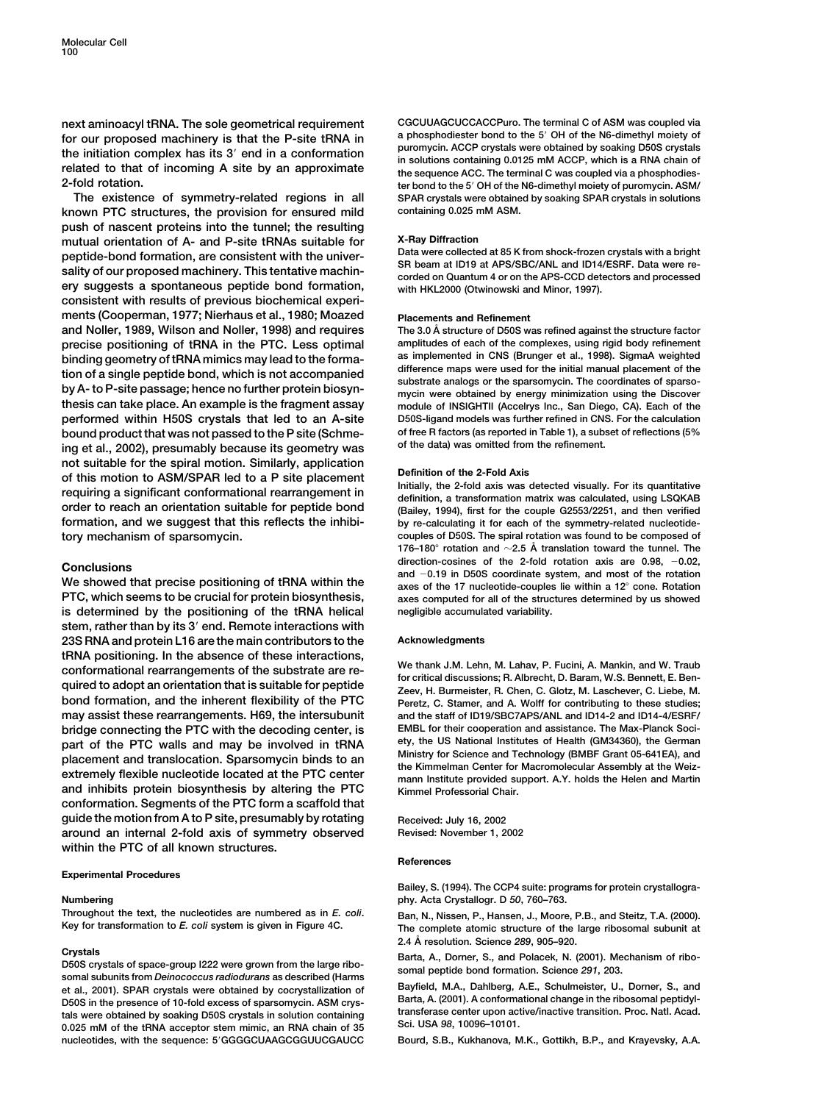for our proposed machinery is that the P-site tRNA in<br>the initiation complex has its 3' end in a conformation<br>related to that of incoming A site by an approximate<br> $2$ -fold rotation.<br> $2$ -fold rotation.

**known PTC structures, the provision for ensured mild containing 0.025 mM ASM. push of nascent proteins into the tunnel; the resulting mutual orientation of A- and P-site tRNAs suitable for X-Ray Diffraction** peptide-bond formation, are consistent with the univer-<br>sality of our proposed machinery. This tentative machin-<br>ery suggests a spontaneous peptide bond formation,<br>with HKL2000 (Otwinowski and Minor, 1997). **consistent with results of previous biochemical experiments (Cooperman, 1977; Nierhaus et al., 1980; Moazed Placements and Refinement precise positioning of tRNA in the PTC. Less optimal amplitudes of each of the complexes, using rigid body refinement** binding geometry of tRNA mimics may lead to the forma-<br>tion of a single peptide bond, which is not accompanied<br>by A- to P-site passage; hence no further protein biosyn-<br>by A- to P-site passage; hence no further protein bio **thesis can take place. An example is the fragment assay module of INSIGHTII (Accelrys Inc., San Diego, CA). Each of the performed within H50S crystals that led to an A-site D50S-ligand models was further refined in CNS. For the calculation bound product that was not passed to the P site (Schme- of free R factors (as reported in Table 1), a subset of reflections (5%** ing et al., 2002), presumably because its geometry was not suitable for the spiral motion. Similarly, application<br>of this motion to ASM/SPAR led to a P site placement<br>requiring a significant conformational rearrangement in<br>order to reach an orientation suitable for peptide bon **formation, and we suggest that this reflects the inhibi- by re-calculating it for each of the symmetry-related nucleotidetory mechanism of sparsomycin. couples of D50S. The spiral rotation was found to be composed of**

**is determined by the positioning of the tRNA helical negligible accumulated variability. stem, rather than by its 3 end. Remote interactions with 23S RNA and protein L16 are the main contributors to the Acknowledgments** tRNA positioning. In the absence of these interactions,<br>conformational rearrangements of the substrate are re-<br>quired to adopt an orientation that is suitable for peptide<br>zeev, H. Burmeister, R. Chen, C. Glotz, M. Lascheve **bond formation, and the inherent flexibility of the PTC Peretz, C. Stamer, and A. Wolff for contributing to these studies; may assist these rearrangements. H69, the intersubunit and the staff of ID19/SBC7APS/ANL and ID14-2 and ID14-4/ESRF/ bridge connecting the PTC with the decoding center, is EMBL for their cooperation and assistance. The Max-Planck Soci**part of the PTC walls and may be involved in tRNA<br>placement and translocation. Sparsomycin binds to an Ministry for Science and Technology (BMBF Grant 05-641EA), and<br>extremely flexible nucleotide located at the PTC center **and inhibits protein biosynthesis by altering the PTC Kimmel Professorial Chair. conformation. Segments of the PTC form a scaffold that** guide the motion from A to P site, presumably by rotating Received: July 16, 2002 **around an internal 2-fold axis of symmetry observed Revised: November 1, 2002 within the PTC of all known structures.**

### **Experimental Procedures**

**Throughout the text, the nucleotides are numbered as in** *E. coli***. Ban, N., Nissen, P., Hansen, J., Moore, P.B., and Steitz, T.A. (2000).**

Crystals of space-group 1222 were grown from the large ribo-<br>
D50S crystals of space-group 1222 were grown from the large ribo-<br>
somal peptide bond formation. Science 291, 203.<br>
et al., 2001). SPAR crystals were obtained b **nucleotides, with the sequence: 5GGGGCUAAGCGGUUCGAUCC Bourd, S.B., Kukhanova, M.K., Gottikh, B.P., and Krayevsky, A.A.**

**next aminoacyl tRNA. The sole geometrical requirement CGCUUAGCUCCACCPuro. The terminal C of ASM was coupled via 2-fold rotation. ter bond to the 5 OH of the N6-dimethyl moiety of puromycin. ASM/ The existence of symmetry-related regions in all SPAR crystals were obtained by soaking SPAR crystals in solutions**

The 3.0 Å structure of D50S was refined against the structure factor

**176–180** $^{\circ}$  rotation and  $\sim$  2.5 Å translation toward the tunnel. The Conclusions<br>
We showed that precise positioning of tRNA within the<br>
PTC, which seems to be crucial for protein biosynthesis,<br>
PTC, which seems to be crucial for protein biosynthesis,<br>
exes computed for all of the structure axes computed for all of the structures determined by us showed

### **References**

**Bailey, S. (1994). The CCP4 suite: programs for protein crystallogra-Numbering phy. Acta Crystallogr. D** *50***, 760–763.**

> The complete atomic structure of the large ribosomal subunit at **2.4 A˚ resolution. Science** *289***, 905–920.**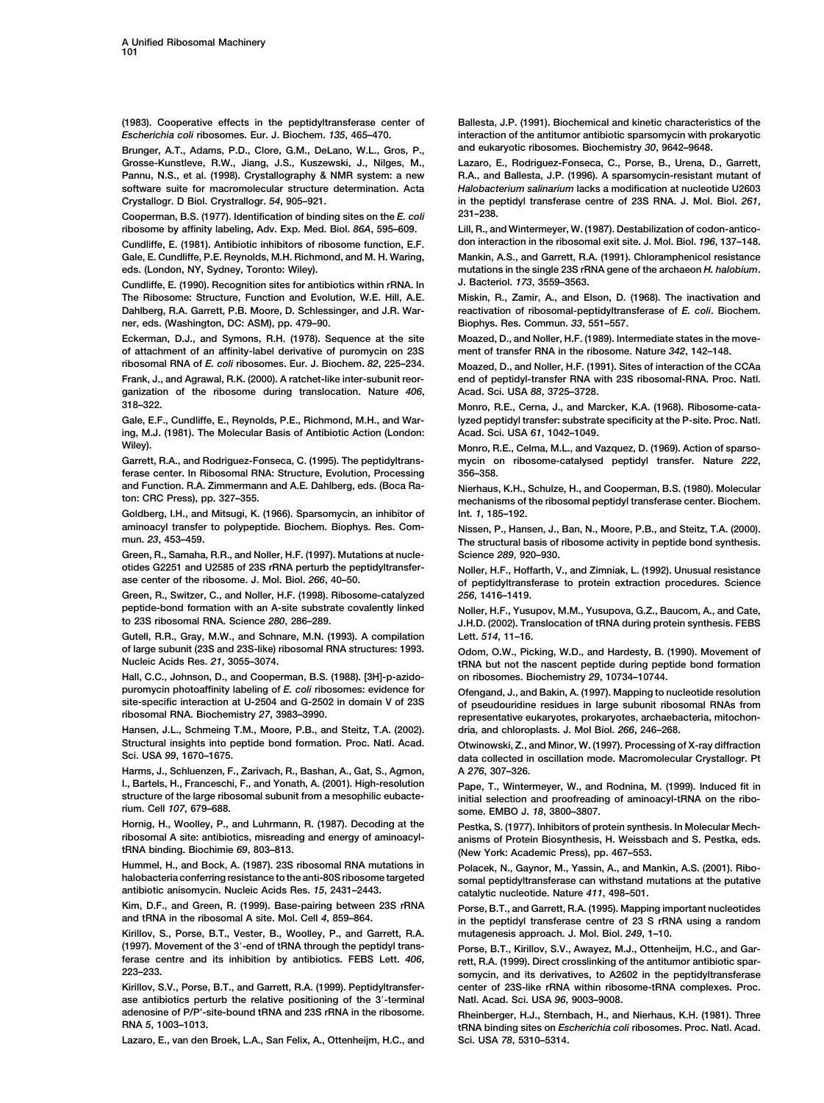**(1983). Cooperative effects in the peptidyltransferase center of Ballesta, J.P. (1991). Biochemical and kinetic characteristics of the** *Escherichia coli* **ribosomes. Eur. J. Biochem.** *135***, 465–470. interaction of the antitumor antibiotic sparsomycin with prokaryotic**

**Grosse-Kunstleve, R.W., Jiang, J.S., Kuszewski, J., Nilges, M., Lazaro, E., Rodriguez-Fonseca, C., Porse, B., Urena, D., Garrett, Pannu, N.S., et al. (1998). Crystallography & NMR system: a new R.A., and Ballesta, J.P. (1996). A sparsomycin-resistant mutant of software suite for macromolecular structure determination. Acta** *Halobacterium salinarium* **lacks a modification at nucleotide U2603**

**Cooperman, B.S. (1977). Identification of binding sites on the** *E. coli* **231–238.** ribosome by affinity labeling, Adv. Exp. Med. Biol. 86A, 595-609.

**Gale, E. Cundliffe, P.E. Reynolds, M.H. Richmond, and M. H. Waring, Mankin, A.S., and Garrett, R.A. (1991). Chloramphenicol resistance eds. (London, NY, Sydney, Toronto: Wiley). mutations in the single 23S rRNA gene of the archaeon** *H. halobium***.**

**Cundliffe, E. (1990). Recognition sites for antibiotics within rRNA. In J. Bacteriol.** *173***, 3559–3563. The Ribosome: Structure, Function and Evolution, W.E. Hill, A.E. Miskin, R., Zamir, A., and Elson, D. (1968). The inactivation and Dahlberg, R.A. Garrett, P.B. Moore, D. Schlessinger, and J.R. War- reactivation of ribosomal-peptidyltransferase of** *E. coli***. Biochem. ner, eds. (Washington, DC: ASM), pp. 479–90. Biophys. Res. Commun.** *33***, 551–557.**

**Eckerman, D.J., and Symons, R.H. (1978). Sequence at the site Moazed, D., and Noller, H.F. (1989). Intermediate states in the moveof attachment of an affinity-label derivative of puromycin on 23S ment of transfer RNA in the ribosome. Nature** *342***, 142–148.**

**ganization of the ribosome during translocation. Nature** *406***, Acad. Sci. USA** *88***, 3725–3728.**

**ing, M.J. (1981). The Molecular Basis of Antibiotic Action (London: Acad. Sci. USA** *61***, 1042–1049. Wiley). Monro, R.E., Celma, M.L., and Vazquez, D. (1969). Action of sparso-**

**ferase center. In Ribosomal RNA: Structure, Evolution, Processing 356–358. and Function. R.A. Zimmermann and A.E. Dahlberg, eds. (Boca Ra- Nierhaus, K.H., Schulze, H., and Cooperman, B.S. (1980). Molecular**

**Goldberg, I.H., and Mitsugi, K. (1966). Sparsomycin, an inhibitor of Int.** *1***, 185–192. aminoacyl transfer to polypeptide. Biochem. Biophys. Res. Com- Nissen, P., Hansen, J., Ban, N., Moore, P.B., and Steitz, T.A. (2000).**

**Green, R., Samaha, R.R., and Noller, H.F. (1997). Mutations at nucle- Science** *289***, 920–930. otides G2251 and U2585 of 23S rRNA perturb the peptidyltransfer- Noller, H.F., Hoffarth, V., and Zimniak, L. (1992). Unusual resistance**

**Green, R., Switzer, C., and Noller, H.F. (1998). Ribosome-catalyzed** *256***, 1416–1419. peptide-bond formation with an A-site substrate covalently linked Noller, H.F., Yusupov, M.M., Yusupova, G.Z., Baucom, A., and Cate,**

**Gutell, R.R., Gray, M.W., and Schnare, M.N. (1993). A compilation Lett.** *514***, 11–16. of large subunit (23S and 23S-like) ribosomal RNA structures: 1993. Odom, O.W., Picking, W.D., and Hardesty, B. (1990). Movement of**

**Hall, C.C., Johnson, D., and Cooperman, B.S. (1988). [3H]-p-azido- on ribosomes. Biochemistry** *29***, 10734–10744. puromycin photoaffinity labeling of** *E. coli* **ribosomes: evidence for Ofengand, J., and Bakin, A. (1997). Mapping to nucleotide resolution**

**Hansen, J.L., Schmeing T.M., Moore, P.B., and Steitz, T.A. (2002). dria, and chloroplasts. J. Mol Biol.** *266***, 246–268. Structural insights into peptide bond formation. Proc. Natl. Acad. Otwinowski, Z., and Minor, W. (1997). Processing of X-ray diffraction**

**Harms, J., Schluenzen, F., Zarivach, R., Bashan, A., Gat, S., Agmon, A** *276***, 307–326. structure of the large ribosomal subunit from a mesophilic eubacte- initial selection and proofreading of aminoacyl-tRNA on the ribo-**

**Hornig, H., Woolley, P., and Luhrmann, R. (1987). Decoding at the Pestka, S. (1977). Inhibitors of protein synthesis. In Molecular Mechribosomal A site: antibiotics, misreading and energy of aminoacyl- anisms of Protein Biosynthesis, H. Weissbach and S. Pestka, eds.**

**Hummel, H., and Bock, A. (1987). 23S ribosomal RNA mutations in Polacek, N., Gaynor, M., Yassin, A., and Mankin, A.S. (2001). Riboantibiotic anisomycin. Nucleic Acids Res.** *15***, 2431–2443. catalytic nucleotide. Nature** *411***, 498–501.**

**Kim, D.F., and Green, R. (1999). Base-pairing between 23S rRNA Porse, B.T., and Garrett, R.A. (1995). Mapping important nucleotides**

**Kirillov, S., Porse, B.T., Vester, B., Woolley, P., and Garrett, R.A. mutagenesis approach. J. Mol. Biol.** *249***, 1–10. (1997). Movement of the 3-end of tRNA through the peptidyl trans- Porse, B.T., Kirillov, S.V., Awayez, M.J., Ottenheijm, H.C., and Garferase centre and its inhibition by antibiotics. FEBS Lett.** *406***, rett, R.A. (1999). Direct crosslinking of the antitumor antibiotic spar-**

**ase antibiotics perturb the relative positioning of the 3-terminal Natl. Acad. Sci. USA** *96***, 9003–9008. adenosine of P/P'-site-bound tRNA and 23S rRNA in the ribosome. Rheinberger, H.J., Sternbach, H., and Nierhaus, K.H. (1981). Three**

**Lazaro, E., van den Broek, L.A., San Felix, A., Ottenheijm, H.C., and Sci. USA** *78***, 5310–5314.**

**Brunger, A.T., Adams, P.D., Clore, G.M., DeLano, W.L., Gros, P., and eukaryotic ribosomes. Biochemistry** *30***, 9642–9648.**

**Crystallogr. D Biol. Crystrallogr.** *54***, 905–921. in the peptidyl transferase centre of 23S RNA. J. Mol. Biol.** *261***,**

**Cundliffe, E. (1981). Antibiotic inhibitors of ribosome function, E.F. don interaction in the ribosomal exit site. J. Mol. Biol.** *196***, 137–148.**

**ribosomal RNA of** *E. coli* **ribosomes. Eur. J. Biochem.** *82***, 225–234. Moazed, D., and Noller, H.F. (1991). Sites of interaction of the CCAa Frank, J., and Agrawal, R.K. (2000). A ratchet-like inter-subunit reor- end of peptidyl-transfer RNA with 23S ribosomal-RNA. Proc. Natl.**

**318–322. Monro, R.E., Cerna, J., and Marcker, K.A. (1968). Ribosome-cata-Gale, E.F., Cundliffe, E., Reynolds, P.E., Richmond, M.H., and War- lyzed peptidyl transfer: substrate specificity at the P-site. Proc. Natl.**

**Garrett, R.A., and Rodriguez-Fonseca, C. (1995). The peptidyltrans- mycin on ribosome-catalysed peptidyl transfer. Nature** *222***,**

mechanisms of the ribosomal peptidyl transferase center. Biochem.

**mun.** *23***, 453–459. The structural basis of ribosome activity in peptide bond synthesis.**

**ase center of the ribosome. J. Mol. Biol.** *266***, 40–50. of peptidyltransferase to protein extraction procedures. Science**

**to 23S ribosomal RNA. Science** *280***, 286–289. J.H.D. (2002). Translocation of tRNA during protein synthesis. FEBS**

**tRNA but not the nascent peptide during peptide bond formation**<br>on ribosomes. Biochemistry 29, 10734-10744.

**site-specific interaction at U-2504 and G-2502 in domain V of 23S of pseudouridine residues in large subunit ribosomal RNAs from ribosomal RNA. Biochemistry** *27***, 3983–3990. representative eukaryotes, prokaryotes, archaebacteria, mitochon-**

**Sci. USA** *99***, 1670–1675. data collected in oscillation mode. Macromolecular Crystallogr. Pt**

Pape, T., Wintermeyer, W., and Rodnina, M. (1999). Induced fit in **rium. Cell** *107***, 679–688. some. EMBO J.** *18***, 3800–3807.**

**tRNA binding. Biochimie** *69***, 803–813. (New York: Academic Press), pp. 467–553.**

somal peptidyltransferase can withstand mutations at the putative

in the peptidyl transferase centre of 23 S rRNA using a random

**223–233. somycin, and its derivatives, to A2602 in the peptidyltransferase Kirillov, S.V., Porse, B.T., and Garrett, R.A. (1999). Peptidyltransfer- center of 23S-like rRNA within ribosome-tRNA complexes. Proc.**

**RNA** *5***, 1003–1013. tRNA binding sites on** *Escherichia coli* **ribosomes. Proc. Natl. Acad.**